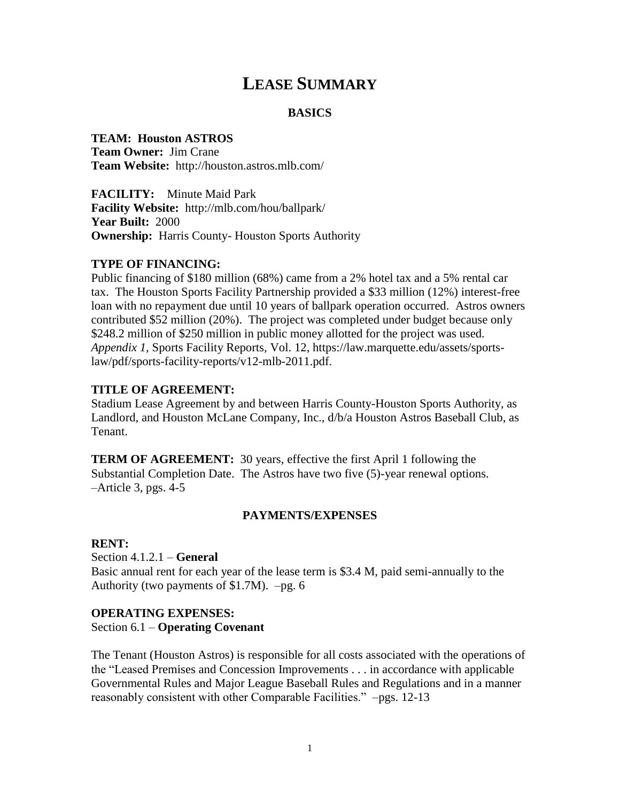# **LEASE SUMMARY**

## **BASICS**

# **TEAM: Houston ASTROS**

**Team Owner:** Jim Crane **Team Website:** http://houston.astros.mlb.com/

**FACILITY:** Minute Maid Park **Facility Website:** http://mlb.com/hou/ballpark/ **Year Built:** 2000 **Ownership:** Harris County-Houston Sports Authority

# **TYPE OF FINANCING:**

Public financing of \$180 million (68%) came from a 2% hotel tax and a 5% rental car tax. The Houston Sports Facility Partnership provided a \$33 million (12%) interest-free loan with no repayment due until 10 years of ballpark operation occurred. Astros owners contributed \$52 million (20%). The project was completed under budget because only \$248.2 million of \$250 million in public money allotted for the project was used. *Appendix 1,* Sports Facility Reports*,* Vol. 12, https://law.marquette.edu/assets/sportslaw/pdf/sports-facility-reports/v12-mlb-2011.pdf.

## **TITLE OF AGREEMENT:**

Stadium Lease Agreement by and between Harris County-Houston Sports Authority, as Landlord, and Houston McLane Company, Inc., d/b/a Houston Astros Baseball Club, as Tenant.

**TERM OF AGREEMENT:** 30 years, effective the first April 1 following the Substantial Completion Date. The Astros have two five (5)-year renewal options. –Article 3, pgs. 4-5

### **PAYMENTS/EXPENSES**

### **RENT:**

Section 4.1.2.1 – **General** Basic annual rent for each year of the lease term is \$3.4 M, paid semi-annually to the Authority (two payments of  $$1.7M$ ). –pg. 6

## **OPERATING EXPENSES:**

#### Section 6.1 – **Operating Covenant**

The Tenant (Houston Astros) is responsible for all costs associated with the operations of the "Leased Premises and Concession Improvements . . . in accordance with applicable Governmental Rules and Major League Baseball Rules and Regulations and in a manner reasonably consistent with other Comparable Facilities." –pgs. 12-13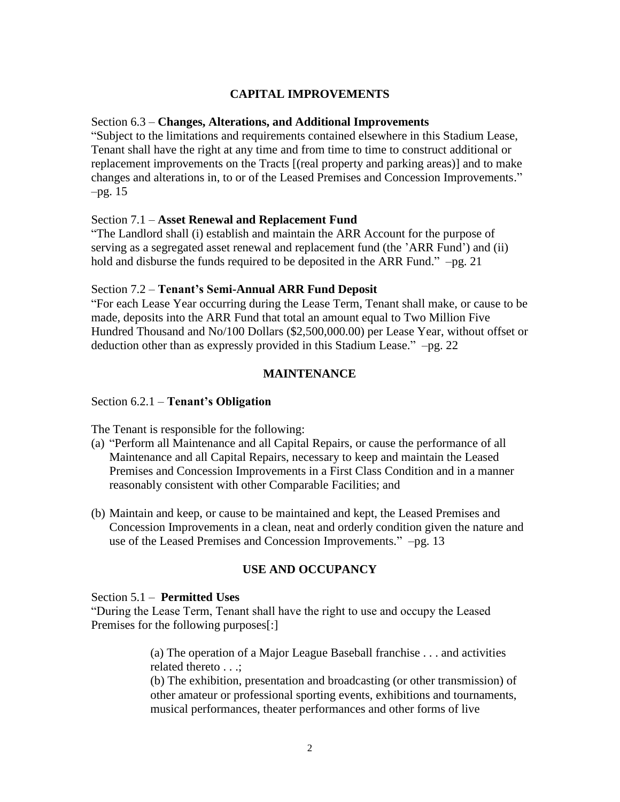# **CAPITAL IMPROVEMENTS**

# Section 6.3 – **Changes, Alterations, and Additional Improvements**

"Subject to the limitations and requirements contained elsewhere in this Stadium Lease, Tenant shall have the right at any time and from time to time to construct additional or replacement improvements on the Tracts [(real property and parking areas)] and to make changes and alterations in, to or of the Leased Premises and Concession Improvements." –pg. 15

## Section 7.1 – **Asset Renewal and Replacement Fund**

"The Landlord shall (i) establish and maintain the ARR Account for the purpose of serving as a segregated asset renewal and replacement fund (the 'ARR Fund') and (ii) hold and disburse the funds required to be deposited in the ARR Fund." –pg. 21

# Section 7.2 – **Tenant's Semi-Annual ARR Fund Deposit**

"For each Lease Year occurring during the Lease Term, Tenant shall make, or cause to be made, deposits into the ARR Fund that total an amount equal to Two Million Five Hundred Thousand and No/100 Dollars (\$2,500,000.00) per Lease Year, without offset or deduction other than as expressly provided in this Stadium Lease." –pg. 22

# **MAINTENANCE**

## Section 6.2.1 – **Tenant's Obligation**

The Tenant is responsible for the following:

- (a) "Perform all Maintenance and all Capital Repairs, or cause the performance of all Maintenance and all Capital Repairs, necessary to keep and maintain the Leased Premises and Concession Improvements in a First Class Condition and in a manner reasonably consistent with other Comparable Facilities; and
- (b) Maintain and keep, or cause to be maintained and kept, the Leased Premises and Concession Improvements in a clean, neat and orderly condition given the nature and use of the Leased Premises and Concession Improvements." –pg. 13

# **USE AND OCCUPANCY**

Section 5.1 – **Permitted Uses**

"During the Lease Term, Tenant shall have the right to use and occupy the Leased Premises for the following purposes[:]

> (a) The operation of a Major League Baseball franchise . . . and activities related thereto . . .;

(b) The exhibition, presentation and broadcasting (or other transmission) of other amateur or professional sporting events, exhibitions and tournaments, musical performances, theater performances and other forms of live